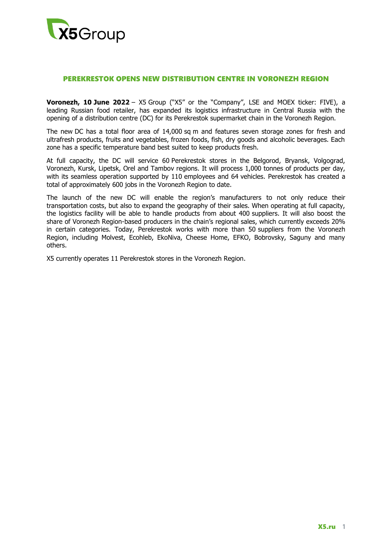

## PEREKRESTOK OPENS NEW DISTRIBUTION CENTRE IN VORONEZH REGION

**Voronezh, 10 June 2022** – X5 Group ("X5" or the "Company", LSE and MOEX ticker: FIVE), a leading Russian food retailer, has expanded its logistics infrastructure in Central Russia with the opening of a distribution centre (DC) for its Perekrestok supermarket chain in the Voronezh Region.

The new DC has a total floor area of 14,000 sq m and features seven storage zones for fresh and ultrafresh products, fruits and vegetables, frozen foods, fish, dry goods and alcoholic beverages. Each zone has a specific temperature band best suited to keep products fresh.

At full capacity, the DC will service 60 Perekrestok stores in the Belgorod, Bryansk, Volgograd, Voronezh, Kursk, Lipetsk, Orel and Tambov regions. It will process 1,000 tonnes of products per day, with its seamless operation supported by 110 employees and 64 vehicles. Perekrestok has created a total of approximately 600 jobs in the Voronezh Region to date.

The launch of the new DC will enable the region's manufacturers to not only reduce their transportation costs, but also to expand the geography of their sales. When operating at full capacity, the logistics facility will be able to handle products from about 400 suppliers. It will also boost the share of Voronezh Region-based producers in the chain's regional sales, which currently exceeds 20% in certain categories. Today, Perekrestok works with more than 50 suppliers from the Voronezh Region, including Molvest, Ecohleb, EkoNiva, Cheese Home, EFKO, Bobrovsky, Saguny and many others.

X5 currently operates 11 Perekrestok stores in the Voronezh Region.